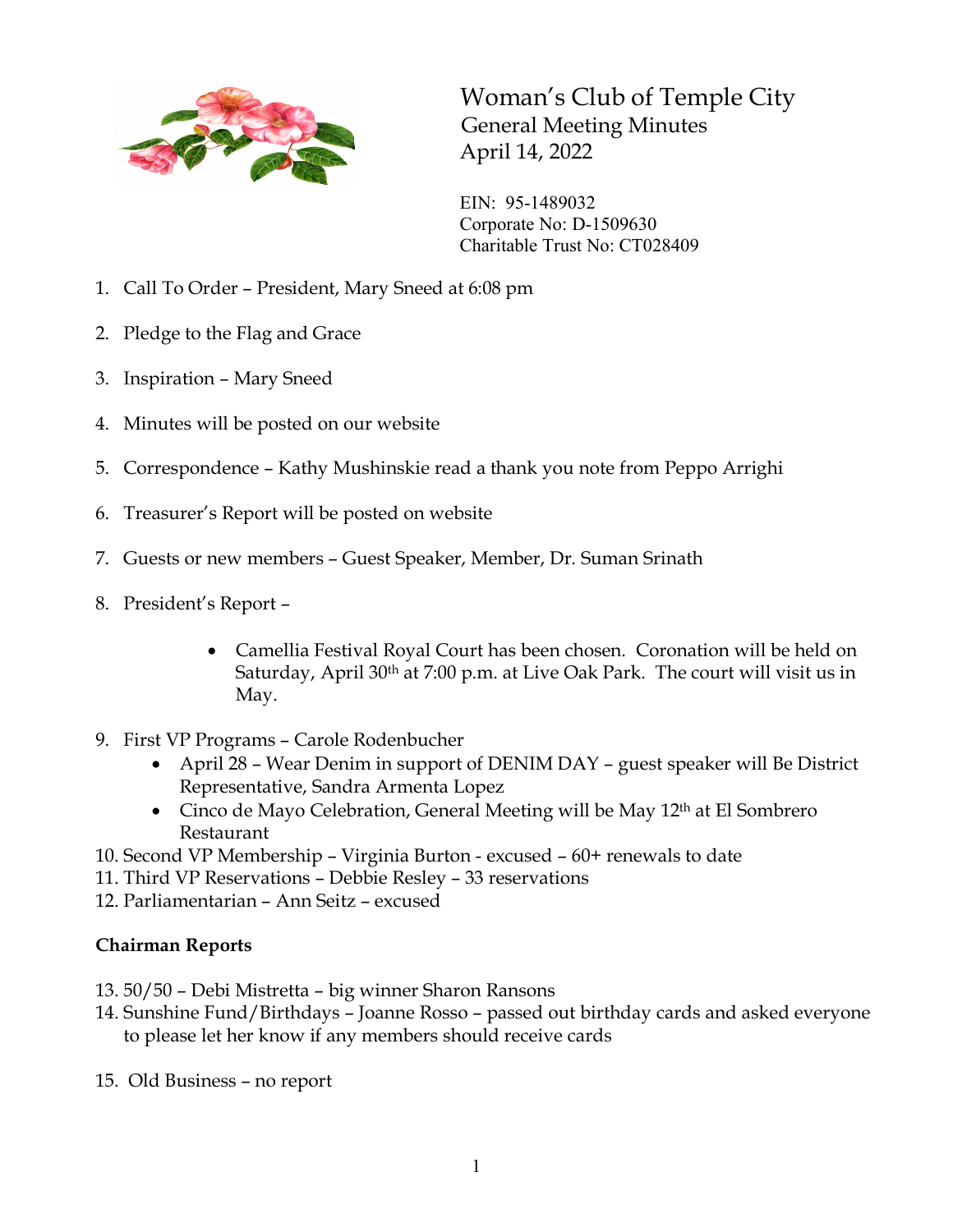

Woman's Club of Temple City General Meeting Minutes April 14, 2022

EIN: 95-1489032 Corporate No: D-1509630 Charitable Trust No: CT028409

- 1. Call To Order President, Mary Sneed at 6:08 pm
- 2. Pledge to the Flag and Grace
- 3. Inspiration Mary Sneed
- 4. Minutes will be posted on our website
- 5. Correspondence Kathy Mushinskie read a thank you note from Peppo Arrighi
- 6. Treasurer's Report will be posted on website
- 7. Guests or new members Guest Speaker, Member, Dr. Suman Srinath
- 8. President's Report
	- Camellia Festival Royal Court has been chosen. Coronation will be held on Saturday, April 30<sup>th</sup> at 7:00 p.m. at Live Oak Park. The court will visit us in May.
- 9. First VP Programs Carole Rodenbucher
	- April 28 Wear Denim in support of DENIM DAY guest speaker will Be District Representative, Sandra Armenta Lopez
	- Cinco de Mayo Celebration, General Meeting will be May 12<sup>th</sup> at El Sombrero Restaurant
- 10. Second VP Membership Virginia Burton excused 60+ renewals to date
- 11. Third VP Reservations Debbie Resley 33 reservations
- 12. Parliamentarian Ann Seitz excused

## **Chairman Reports**

- 13. 50/50 Debi Mistretta big winner Sharon Ransons
- 14. Sunshine Fund/Birthdays Joanne Rosso passed out birthday cards and asked everyone to please let her know if any members should receive cards
- 15. Old Business no report